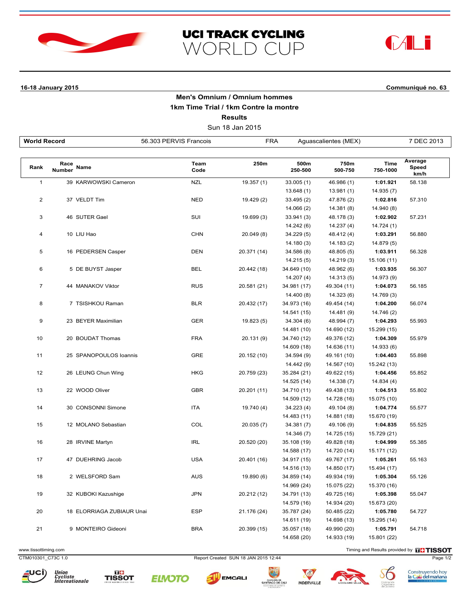





## **16-18 January 2015 Communiqué no. 63**

## **Men's Omnium / Omnium hommes 1km Time Trial / 1km Contre la montre Results**

Sun 18 Jan 2015

| <b>World Record</b>     |                |                           | <b>FRA</b><br>56.303 PERVIS Francois |             | Aguascalientes (MEX) |                 |                         | 7 DEC 2013               |  |
|-------------------------|----------------|---------------------------|--------------------------------------|-------------|----------------------|-----------------|-------------------------|--------------------------|--|
|                         |                |                           |                                      |             |                      |                 |                         |                          |  |
| Rank                    | Race<br>Number | Name                      | Team<br>Code                         | 250m        | 500m<br>250-500      | 750m<br>500-750 | <b>Time</b><br>750-1000 | Average<br>Speed<br>km/h |  |
| $\mathbf{1}$            |                | 39 KARWOWSKI Cameron      | <b>NZL</b>                           | 19.357 (1)  | 33.005(1)            | 46.986 (1)      | 1:01.921                | 58.138                   |  |
|                         |                |                           |                                      |             | 13.648(1)            | 13.981 (1)      | 14.935(7)               |                          |  |
| $\overline{\mathbf{c}}$ |                | 37 VELDT Tim              | <b>NED</b>                           | 19.429 (2)  | 33.495 (2)           | 47.876 (2)      | 1:02.816                | 57.310                   |  |
|                         |                |                           |                                      |             | 14.066(2)            | 14.381 (8)      | 14.940 (8)              |                          |  |
| 3                       |                | 46 SUTER Gael             | SUI                                  | 19.699 (3)  | 33.941 (3)           | 48.178 (3)      | 1:02.902                | 57.231                   |  |
|                         |                |                           |                                      |             | 14.242 (6)           | 14.237(4)       | 14.724 (1)              |                          |  |
| 4                       |                | 10 LIU Hao                | <b>CHN</b>                           | 20.049 (8)  | 34.229 (5)           | 48.412 (4)      | 1:03.291                | 56.880                   |  |
|                         |                |                           |                                      |             | 14.180(3)            | 14.183 (2)      | 14.879 (5)              |                          |  |
| 5                       |                | 16 PEDERSEN Casper        | <b>DEN</b>                           | 20.371 (14) | 34.586 (8)           | 48.805 (5)      | 1:03.911                | 56.328                   |  |
|                         |                |                           |                                      |             | 14.215(5)            | 14.219 (3)      | 15.106 (11)             |                          |  |
| 6                       |                | 5 DE BUYST Jasper         | <b>BEL</b>                           | 20.442 (18) | 34.649 (10)          | 48.962 (6)      | 1:03.935                | 56.307                   |  |
|                         |                |                           |                                      |             | 14.207 (4)           | 14.313 (5)      | 14.973 (9)              |                          |  |
| $\overline{7}$          |                | 44 MANAKOV Viktor         | <b>RUS</b>                           | 20.581 (21) | 34.981 (17)          | 49.304 (11)     | 1:04.073                | 56.185                   |  |
|                         |                |                           |                                      |             | 14.400 (8)           | 14.323 (6)      | 14.769 (3)              |                          |  |
| 8                       |                | 7 TSISHKOU Raman          | <b>BLR</b>                           | 20.432 (17) | 34.973 (16)          | 49.454 (14)     | 1:04.200                | 56.074                   |  |
|                         |                |                           |                                      |             | 14.541 (15)          | 14.481 (9)      | 14.746 (2)              |                          |  |
| 9                       |                | 23 BEYER Maximilian       | <b>GER</b>                           | 19.823 (5)  | 34.304 (6)           | 48.994 (7)      | 1:04.293                | 55.993                   |  |
|                         |                |                           |                                      |             | 14.481 (10)          | 14.690 (12)     | 15.299 (15)             |                          |  |
| 10                      |                | 20 BOUDAT Thomas          | <b>FRA</b>                           | 20.131 (9)  | 34.740 (12)          | 49.376 (12)     | 1:04.309                | 55.979                   |  |
|                         |                |                           |                                      |             | 14.609 (18)          | 14.636 (11)     | 14.933 (6)              |                          |  |
| 11                      |                | 25 SPANOPOULOS loannis    | <b>GRE</b>                           | 20.152 (10) | 34.594 (9)           | 49.161 (10)     | 1:04.403                | 55.898                   |  |
|                         |                |                           |                                      |             | 14.442 (9)           | 14.567 (10)     | 15.242 (13)             |                          |  |
| 12                      |                | 26 LEUNG Chun Wing        | <b>HKG</b>                           | 20.759 (23) | 35.284 (21)          | 49.622 (15)     | 1:04.456                | 55.852                   |  |
|                         |                |                           |                                      |             | 14.525 (14)          | 14.338 (7)      | 14.834 (4)              |                          |  |
| 13                      |                | 22 WOOD Oliver            | <b>GBR</b>                           | 20.201 (11) | 34.710 (11)          | 49.438 (13)     | 1:04.513                | 55.802                   |  |
|                         |                |                           |                                      |             | 14.509 (12)          | 14.728 (16)     | 15.075 (10)             |                          |  |
| 14                      |                | 30 CONSONNI Simone        | ITA                                  | 19.740 (4)  | 34.223 (4)           | 49.104 (8)      | 1:04.774                | 55.577                   |  |
|                         |                |                           |                                      |             | 14.483 (11)          | 14.881 (18)     | 15.670 (19)             |                          |  |
| 15                      |                | 12 MOLANO Sebastian       | COL                                  | 20.035 (7)  | 34.381 (7)           | 49.106 (9)      | 1:04.835                | 55.525                   |  |
|                         |                |                           |                                      |             | 14.346 (7)           | 14.725 (15)     | 15.729 (21)             |                          |  |
| 16                      |                | 28 IRVINE Martyn          | <b>IRL</b>                           | 20.520 (20) | 35.108 (19)          | 49.828 (18)     | 1:04.999                | 55.385                   |  |
|                         |                |                           |                                      |             | 14.588 (17)          | 14.720 (14)     | 15.171 (12)             |                          |  |
| 17                      |                | 47 DUEHRING Jacob         | <b>USA</b>                           | 20.401 (16) | 34.917 (15)          | 49.767 (17)     | 1:05.261                | 55.163                   |  |
|                         |                |                           |                                      |             | 14.516 (13)          | 14.850 (17)     | 15.494 (17)             |                          |  |
| 18                      |                | 2 WELSFORD Sam            | <b>AUS</b>                           | 19.890 (6)  | 34.859 (14)          | 49.934 (19)     | 1:05.304                | 55.126                   |  |
|                         |                |                           |                                      |             | 14.969 (24)          | 15.075 (22)     | 15.370 (16)             |                          |  |
| 19                      |                | 32 KUBOKI Kazushiqe       | <b>JPN</b>                           | 20.212 (12) | 34.791 (13)          | 49.725 (16)     | 1:05.398                | 55.047                   |  |
|                         |                |                           |                                      |             | 14.579 (16)          | 14.934 (20)     | 15.673 (20)             |                          |  |
| 20                      |                | 18 ELORRIAGA ZUBIAUR Unai | <b>ESP</b>                           | 21.176 (24) | 35.787 (24)          | 50.485 (22)     | 1:05.780                | 54.727                   |  |
|                         |                |                           |                                      |             | 14.611 (19)          | 14.698 (13)     | 15.295 (14)             |                          |  |
| 21                      |                | 9 MONTEIRO Gideoni        | <b>BRA</b>                           | 20.399 (15) | 35.057 (18)          | 49.990 (20)     | 1:05.791                | 54.718                   |  |
|                         |                |                           |                                      |             | 14.658 (20)          | 14.933 (19)     | 15.801 (22)             |                          |  |

www.tissottiming.com **Timing and Results provided by FINSOT** 

CTM010301\_C73C 1.0 Report Created SUN 18 JAN 2015 12:44 Page 1/2













中心 ALCALDIA DE<br>SANTIAGO DE CALI

INDERVALLE







Construyendo hoy<br>la Cali del mañana